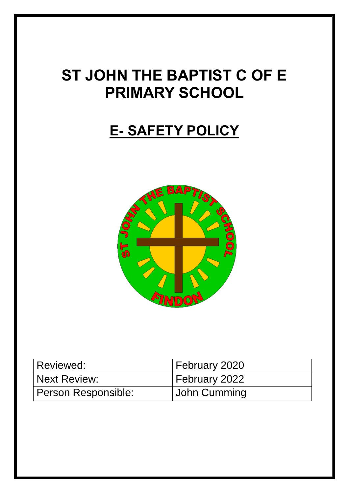# **ST JOHN THE BAPTIST C OF E PRIMARY SCHOOL**

# **E- SAFETY POLICY**



| Reviewed:           | <b>February 2020</b> |
|---------------------|----------------------|
| Next Review:        | <b>February 2022</b> |
| Person Responsible: | John Cumming         |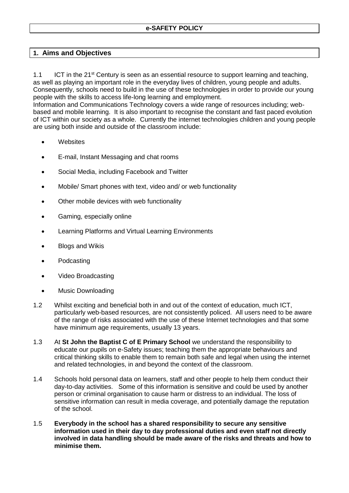# **1. Aims and Objectives**

1.1 ICT in the 21<sup>st</sup> Century is seen as an essential resource to support learning and teaching, as well as playing an important role in the everyday lives of children, young people and adults. Consequently, schools need to build in the use of these technologies in order to provide our young people with the skills to access life-long learning and employment.

Information and Communications Technology covers a wide range of resources including; webbased and mobile learning. It is also important to recognise the constant and fast paced evolution of ICT within our society as a whole. Currently the internet technologies children and young people are using both inside and outside of the classroom include:

- Websites
- E-mail, Instant Messaging and chat rooms
- Social Media, including Facebook and Twitter
- Mobile/ Smart phones with text, video and/ or web functionality
- Other mobile devices with web functionality
- **•** Gaming, especially online
- Learning Platforms and Virtual Learning Environments
- Blogs and Wikis
- Podcasting
- Video Broadcasting
- Music Downloading
- 1.2 Whilst exciting and beneficial both in and out of the context of education, much ICT, particularly web-based resources, are not consistently policed. All users need to be aware of the range of risks associated with the use of these Internet technologies and that some have minimum age requirements, usually 13 years.
- 1.3 At **St John the Baptist C of E Primary School** we understand the responsibility to educate our pupils on e-Safety issues; teaching them the appropriate behaviours and critical thinking skills to enable them to remain both safe and legal when using the internet and related technologies, in and beyond the context of the classroom.
- 1.4 Schools hold personal data on learners, staff and other people to help them conduct their day-to-day activities. Some of this information is sensitive and could be used by another person or criminal organisation to cause harm or distress to an individual. The loss of sensitive information can result in media coverage, and potentially damage the reputation of the school.
- 1.5 **Everybody in the school has a shared responsibility to secure any sensitive information used in their day to day professional duties and even staff not directly involved in data handling should be made aware of the risks and threats and how to minimise them.**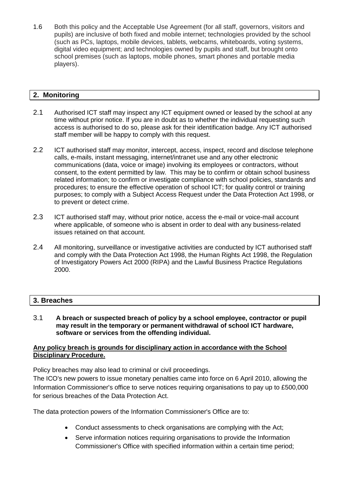1.6 Both this policy and the Acceptable Use Agreement (for all staff, governors, visitors and pupils) are inclusive of both fixed and mobile internet; technologies provided by the school (such as PCs, laptops, mobile devices, tablets, webcams, whiteboards, voting systems, digital video equipment; and technologies owned by pupils and staff, but brought onto school premises (such as laptops, mobile phones, smart phones and portable media players).

# **2. Monitoring**

- 2.1 Authorised ICT staff may inspect any ICT equipment owned or leased by the school at any time without prior notice. If you are in doubt as to whether the individual requesting such access is authorised to do so, please ask for their identification badge. Any ICT authorised staff member will be happy to comply with this request.
- 2.2 ICT authorised staff may monitor, intercept, access, inspect, record and disclose telephone calls, e-mails, instant messaging, internet/intranet use and any other electronic communications (data, voice or image) involving its employees or contractors, without consent, to the extent permitted by law. This may be to confirm or obtain school business related information; to confirm or investigate compliance with school policies, standards and procedures; to ensure the effective operation of school ICT; for quality control or training purposes; to comply with a Subject Access Request under the Data Protection Act 1998, or to prevent or detect crime.
- 2.3 ICT authorised staff may, without prior notice, access the e-mail or voice-mail account where applicable, of someone who is absent in order to deal with any business-related issues retained on that account.
- 2.4 All monitoring, surveillance or investigative activities are conducted by ICT authorised staff and comply with the Data Protection Act 1998, the Human Rights Act 1998, the Regulation of Investigatory Powers Act 2000 (RIPA) and the Lawful Business Practice Regulations 2000.

# **3. Breaches**

3.1 **A breach or suspected breach of policy by a school employee, contractor or pupil may result in the temporary or permanent withdrawal of school ICT hardware, software or services from the offending individual.**

# **Any policy breach is grounds for disciplinary action in accordance with the School Disciplinary Procedure.**

Policy breaches may also lead to criminal or civil proceedings.

The ICO's new powers to issue monetary penalties came into force on 6 April 2010, allowing the Information Commissioner's office to serve notices requiring organisations to pay up to £500,000 for serious breaches of the Data Protection Act.

The data protection powers of the Information Commissioner's Office are to:

- Conduct assessments to check organisations are complying with the Act;
- Serve information notices requiring organisations to provide the Information Commissioner's Office with specified information within a certain time period;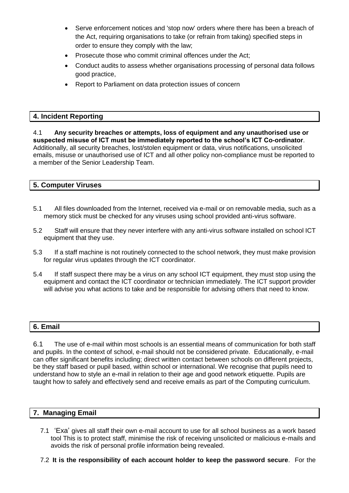- Serve enforcement notices and 'stop now' orders where there has been a breach of the Act, requiring organisations to take (or refrain from taking) specified steps in order to ensure they comply with the law;
- Prosecute those who commit criminal offences under the Act:
- Conduct audits to assess whether organisations processing of personal data follows good practice,
- Report to Parliament on data protection issues of concern

# **4. Incident Reporting**

4.1 **Any security breaches or attempts, loss of equipment and any unauthorised use or suspected misuse of ICT must be immediately reported to the school's ICT Co-ordinator**. Additionally, all security breaches, lost/stolen equipment or data, virus notifications, unsolicited emails, misuse or unauthorised use of ICT and all other policy non-compliance must be reported to a member of the Senior Leadership Team.

# **5. Computer Viruses**

- 5.1 All files downloaded from the Internet, received via e-mail or on removable media, such as a memory stick must be checked for any viruses using school provided anti-virus software.
- 5.2 Staff will ensure that they never interfere with any anti-virus software installed on school ICT equipment that they use.
- 5.3 If a staff machine is not routinely connected to the school network, they must make provision for regular virus updates through the ICT coordinator.
- 5.4 If staff suspect there may be a virus on any school ICT equipment, they must stop using the equipment and contact the ICT coordinator or technician immediately. The ICT support provider will advise you what actions to take and be responsible for advising others that need to know.

# **6. Email**

6.1 The use of e-mail within most schools is an essential means of communication for both staff and pupils. In the context of school, e-mail should not be considered private. Educationally, e-mail can offer significant benefits including; direct written contact between schools on different projects, be they staff based or pupil based, within school or international. We recognise that pupils need to understand how to style an e-mail in relation to their age and good network etiquette. Pupils are taught how to safely and effectively send and receive emails as part of the Computing curriculum.

# **7. Managing Email**

- 7.1 'Exa' gives all staff their own e-mail account to use for all school business as a work based tool This is to protect staff, minimise the risk of receiving unsolicited or malicious e-mails and avoids the risk of personal profile information being revealed.
- 7.2 **It is the responsibility of each account holder to keep the password secure**. For the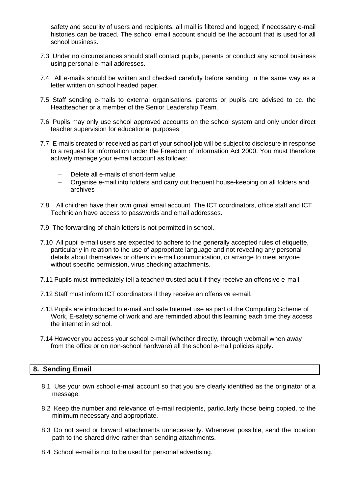safety and security of users and recipients, all mail is filtered and logged; if necessary e-mail histories can be traced. The school email account should be the account that is used for all school business.

- 7.3 Under no circumstances should staff contact pupils, parents or conduct any school business using personal e-mail addresses.
- 7.4 All e-mails should be written and checked carefully before sending, in the same way as a letter written on school headed paper.
- 7.5 Staff sending e-mails to external organisations, parents or pupils are advised to cc. the Headteacher or a member of the Senior Leadership Team.
- 7.6 Pupils may only use school approved accounts on the school system and only under direct teacher supervision for educational purposes.
- 7.7 E-mails created or received as part of your school job will be subject to disclosure in response to a request for information under the Freedom of Information Act 2000. You must therefore actively manage your e-mail account as follows:
	- Delete all e-mails of short-term value
	- Organise e-mail into folders and carry out frequent house-keeping on all folders and archives
- 7.8 All children have their own gmail email account. The ICT coordinators, office staff and ICT Technician have access to passwords and email addresses.
- 7.9 The forwarding of chain letters is not permitted in school.
- 7.10 All pupil e-mail users are expected to adhere to the generally accepted rules of etiquette, particularly in relation to the use of appropriate language and not revealing any personal details about themselves or others in e-mail communication, or arrange to meet anyone without specific permission, virus checking attachments.
- 7.11 Pupils must immediately tell a teacher/ trusted adult if they receive an offensive e-mail.
- 7.12 Staff must inform ICT coordinators if they receive an offensive e-mail.
- 7.13 Pupils are introduced to e-mail and safe Internet use as part of the Computing Scheme of Work, E-safety scheme of work and are reminded about this learning each time they access the internet in school.
- 7.14 However you access your school e-mail (whether directly, through webmail when away from the office or on non-school hardware) all the school e-mail policies apply.

#### **8. Sending Email**

- 8.1 Use your own school e-mail account so that you are clearly identified as the originator of a message.
- 8.2 Keep the number and relevance of e-mail recipients, particularly those being copied, to the minimum necessary and appropriate.
- 8.3 Do not send or forward attachments unnecessarily. Whenever possible, send the location path to the shared drive rather than sending attachments.
- 8.4 School e-mail is not to be used for personal advertising.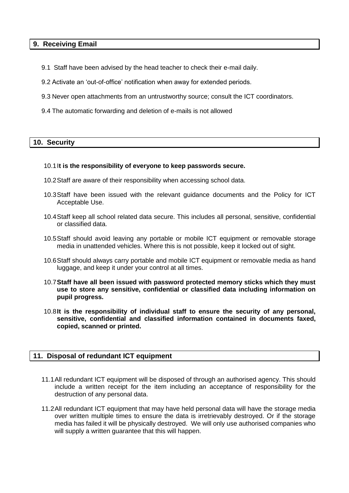#### **9. Receiving Email**

- 9.1 Staff have been advised by the head teacher to check their e-mail daily.
- 9.2 Activate an 'out-of-office' notification when away for extended periods.
- 9.3 Never open attachments from an untrustworthy source; consult the ICT coordinators.
- 9.4 The automatic forwarding and deletion of e-mails is not allowed

**10. Security**

#### 10.1I**t is the responsibility of everyone to keep passwords secure.**

- 10.2Staff are aware of their responsibility when accessing school data.
- 10.3Staff have been issued with the relevant guidance documents and the Policy for ICT Acceptable Use.
- 10.4Staff keep all school related data secure. This includes all personal, sensitive, confidential or classified data.
- 10.5Staff should avoid leaving any portable or mobile ICT equipment or removable storage media in unattended vehicles. Where this is not possible, keep it locked out of sight.
- 10.6Staff should always carry portable and mobile ICT equipment or removable media as hand luggage, and keep it under your control at all times.
- 10.7**Staff have all been issued with password protected memory sticks which they must use to store any sensitive, confidential or classified data including information on pupil progress.**
- 10.8**It is the responsibility of individual staff to ensure the security of any personal, sensitive, confidential and classified information contained in documents faxed, copied, scanned or printed.**

#### **11. Disposal of redundant ICT equipment**

- 11.1All redundant ICT equipment will be disposed of through an authorised agency. This should include a written receipt for the item including an acceptance of responsibility for the destruction of any personal data.
- 11.2All redundant ICT equipment that may have held personal data will have the storage media over written multiple times to ensure the data is irretrievably destroyed. Or if the storage media has failed it will be physically destroyed. We will only use authorised companies who will supply a written guarantee that this will happen.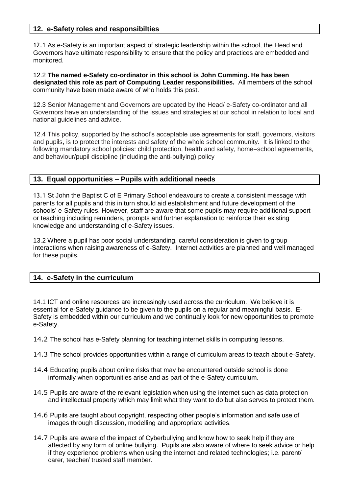# **12. e-Safety roles and responsibilties**

12.1 As e-Safety is an important aspect of strategic leadership within the school, the Head and Governors have ultimate responsibility to ensure that the policy and practices are embedded and monitored.

12.2 **The named e-Safety co-ordinator in this school is John Cumming. He has been designated this role as part of Computing Leader responsibilities.** All members of the school community have been made aware of who holds this post.

12.3 Senior Management and Governors are updated by the Head/ e-Safety co-ordinator and all Governors have an understanding of the issues and strategies at our school in relation to local and national guidelines and advice.

12.4 This policy, supported by the school's acceptable use agreements for staff, governors, visitors and pupils, is to protect the interests and safety of the whole school community. It is linked to the following mandatory school policies: child protection, health and safety, home–school agreements, and behaviour/pupil discipline (including the anti-bullying) policy

# **13. Equal opportunities – Pupils with additional needs**

13.1 St John the Baptist C of E Primary School endeavours to create a consistent message with parents for all pupils and this in turn should aid establishment and future development of the schools' e-Safety rules. However, staff are aware that some pupils may require additional support or teaching including reminders, prompts and further explanation to reinforce their existing knowledge and understanding of e-Safety issues.

13.2 Where a pupil has poor social understanding, careful consideration is given to group interactions when raising awareness of e-Safety. Internet activities are planned and well managed for these pupils.

#### **14. e-Safety in the curriculum**

14.1 ICT and online resources are increasingly used across the curriculum. We believe it is essential for e-Safety guidance to be given to the pupils on a regular and meaningful basis. E-Safety is embedded within our curriculum and we continually look for new opportunities to promote e-Safety.

- 14.2 The school has e-Safety planning for teaching internet skills in computing lessons.
- 14.3 The school provides opportunities within a range of curriculum areas to teach about e-Safety.
- 14.4 Educating pupils about online risks that may be encountered outside school is done informally when opportunities arise and as part of the e-Safety curriculum.
- 14.5 Pupils are aware of the relevant legislation when using the internet such as data protection and intellectual property which may limit what they want to do but also serves to protect them.
- 14.6 Pupils are taught about copyright, respecting other people's information and safe use of images through discussion, modelling and appropriate activities.
- 14.7 Pupils are aware of the impact of Cyberbullying and know how to seek help if they are affected by any form of online bullying. Pupils are also aware of where to seek advice or help if they experience problems when using the internet and related technologies; i.e. parent/ carer, teacher/ trusted staff member.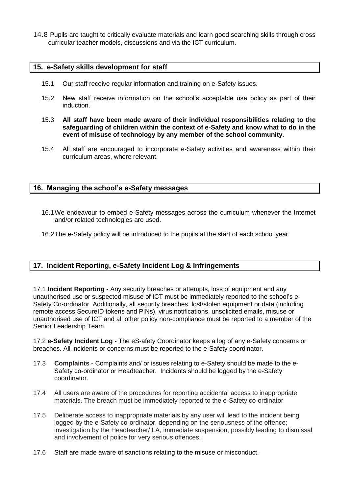14.8 Pupils are taught to critically evaluate materials and learn good searching skills through cross curricular teacher models, discussions and via the ICT curriculum.

#### **15. e-Safety skills development for staff**

- 15.1 Our staff receive regular information and training on e-Safety issues.
- 15.2 New staff receive information on the school's acceptable use policy as part of their induction.
- 15.3 **All staff have been made aware of their individual responsibilities relating to the safeguarding of children within the context of e-Safety and know what to do in the event of misuse of technology by any member of the school community.**
- 15.4 All staff are encouraged to incorporate e-Safety activities and awareness within their curriculum areas, where relevant.

#### **16. Managing the school's e-Safety messages**

- 16.1We endeavour to embed e-Safety messages across the curriculum whenever the Internet and/or related technologies are used.
- 16.2The e-Safety policy will be introduced to the pupils at the start of each school year.

# **17. Incident Reporting, e-Safety Incident Log & Infringements**

17.1 **Incident Reporting -** Any security breaches or attempts, loss of equipment and any unauthorised use or suspected misuse of ICT must be immediately reported to the school's e-Safety Co-ordinator. Additionally, all security breaches, lost/stolen equipment or data (including remote access SecureID tokens and PINs), virus notifications, unsolicited emails, misuse or unauthorised use of ICT and all other policy non-compliance must be reported to a member of the Senior Leadership Team.

17.2 **e-Safety Incident Log -** The eS-afety Coordinator keeps a log of any e-Safety concerns or breaches. All incidents or concerns must be reported to the e-Safety coordinator.

- 17.3 **Complaints -** Complaints and/ or issues relating to e-Safety should be made to the e-Safety co-ordinator or Headteacher. Incidents should be logged by the e-Safety coordinator.
- 17.4 All users are aware of the procedures for reporting accidental access to inappropriate materials. The breach must be immediately reported to the e-Safety co-ordinator
- 17.5 Deliberate access to inappropriate materials by any user will lead to the incident being logged by the e-Safety co-ordinator, depending on the seriousness of the offence; investigation by the Headteacher/ LA, immediate suspension, possibly leading to dismissal and involvement of police for very serious offences.
- 17.6 Staff are made aware of sanctions relating to the misuse or misconduct.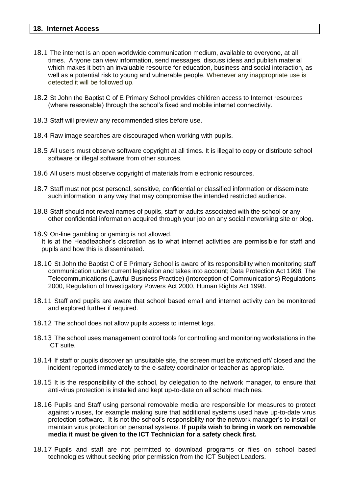#### **18. Internet Access**

- 18.1 The internet is an open worldwide communication medium, available to everyone, at all times. Anyone can view information, send messages, discuss ideas and publish material which makes it both an invaluable resource for education, business and social interaction, as well as a potential risk to young and vulnerable people. Whenever any inappropriate use is detected it will be followed up.
- 18.2 St John the Baptist C of E Primary School provides children access to Internet resources (where reasonable) through the school's fixed and mobile internet connectivity.
- 18.3 Staff will preview any recommended sites before use.
- 18.4 Raw image searches are discouraged when working with pupils.
- 18.5 All users must observe software copyright at all times. It is illegal to copy or distribute school software or illegal software from other sources.
- 18.6 All users must observe copyright of materials from electronic resources.
- 18.7 Staff must not post personal, sensitive, confidential or classified information or disseminate such information in any way that may compromise the intended restricted audience.
- 18.8 Staff should not reveal names of pupils, staff or adults associated with the school or any other confidential information acquired through your job on any social networking site or blog.
- 18.9 On-line gambling or gaming is not allowed. It is at the Headteacher's discretion as to what internet activities are permissible for staff and pupils and how this is disseminated.
- 18.10 St John the Baptist C of E Primary School is aware of its responsibility when monitoring staff communication under current legislation and takes into account; Data Protection Act 1998, The Telecommunications (Lawful Business Practice) (Interception of Communications) Regulations 2000, Regulation of Investigatory Powers Act 2000, Human Rights Act 1998.
- 18.11 Staff and pupils are aware that school based email and internet activity can be monitored and explored further if required.
- 18.12 The school does not allow pupils access to internet logs.
- 18.13 The school uses management control tools for controlling and monitoring workstations in the ICT suite.
- 18.14 If staff or pupils discover an unsuitable site, the screen must be switched off/ closed and the incident reported immediately to the e-safety coordinator or teacher as appropriate.
- 18.15 It is the responsibility of the school, by delegation to the network manager, to ensure that anti-virus protection is installed and kept up-to-date on all school machines.
- 18.16 Pupils and Staff using personal removable media are responsible for measures to protect against viruses, for example making sure that additional systems used have up-to-date virus protection software. It is not the school's responsibility nor the network manager's to install or maintain virus protection on personal systems. **If pupils wish to bring in work on removable media it must be given to the ICT Technician for a safety check first.**
- 18.17 Pupils and staff are not permitted to download programs or files on school based technologies without seeking prior permission from the ICT Subject Leaders.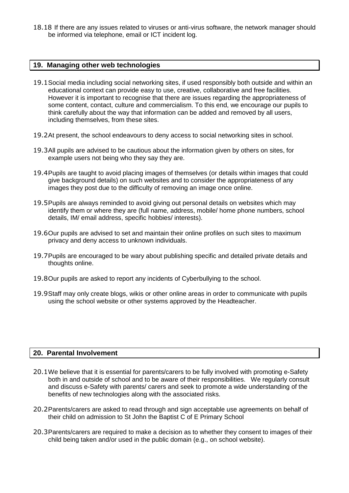18.18 If there are any issues related to viruses or anti-virus software, the network manager should be informed via telephone, email or ICT incident log.

#### **19. Managing other web technologies**

- 19.1Social media including social networking sites, if used responsibly both outside and within an educational context can provide easy to use, creative, collaborative and free facilities. However it is important to recognise that there are issues regarding the appropriateness of some content, contact, culture and commercialism. To this end, we encourage our pupils to think carefully about the way that information can be added and removed by all users, including themselves, from these sites.
- 19.2At present, the school endeavours to deny access to social networking sites in school.
- 19.3All pupils are advised to be cautious about the information given by others on sites, for example users not being who they say they are.
- 19.4Pupils are taught to avoid placing images of themselves (or details within images that could give background details) on such websites and to consider the appropriateness of any images they post due to the difficulty of removing an image once online.
- 19.5Pupils are always reminded to avoid giving out personal details on websites which may identify them or where they are (full name, address, mobile/ home phone numbers, school details, IM/ email address, specific hobbies/ interests).
- 19.6Our pupils are advised to set and maintain their online profiles on such sites to maximum privacy and deny access to unknown individuals.
- 19.7Pupils are encouraged to be wary about publishing specific and detailed private details and thoughts online.
- 19.8Our pupils are asked to report any incidents of Cyberbullying to the school.
- 19.9Staff may only create blogs, wikis or other online areas in order to communicate with pupils using the school website or other systems approved by the Headteacher.

# **20. Parental Involvement**

- 20.1We believe that it is essential for parents/carers to be fully involved with promoting e-Safety both in and outside of school and to be aware of their responsibilities. We regularly consult and discuss e-Safety with parents/ carers and seek to promote a wide understanding of the benefits of new technologies along with the associated risks.
- 20.2Parents/carers are asked to read through and sign acceptable use agreements on behalf of their child on admission to St John the Baptist C of E Primary School
- 20.3Parents/carers are required to make a decision as to whether they consent to images of their child being taken and/or used in the public domain (e.g., on school website).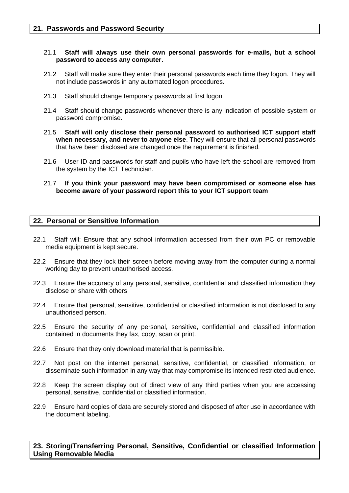#### 21.1 **Staff will always use their own personal passwords for e-mails, but a school password to access any computer.**

- 21.2 Staff will make sure they enter their personal passwords each time they logon. They will not include passwords in any automated logon procedures.
- 21.3 Staff should change temporary passwords at first logon.
- 21.4 Staff should change passwords whenever there is any indication of possible system or password compromise.
- 21.5 **Staff will only disclose their personal password to authorised ICT support staff when necessary, and never to anyone else**. They will ensure that all personal passwords that have been disclosed are changed once the requirement is finished.
- 21.6 User ID and passwords for staff and pupils who have left the school are removed from the system by the ICT Technician*.*
- 21.7 **If you think your password may have been compromised or someone else has become aware of your password report this to your ICT support team**

#### **22. Personal or Sensitive Information**

- 22.1 Staff will: Ensure that any school information accessed from their own PC or removable media equipment is kept secure.
- 22.2 Ensure that they lock their screen before moving away from the computer during a normal working day to prevent unauthorised access.
- 22.3 Ensure the accuracy of any personal, sensitive, confidential and classified information they disclose or share with others
- 22.4 Ensure that personal, sensitive, confidential or classified information is not disclosed to any unauthorised person.
- 22.5 Ensure the security of any personal, sensitive, confidential and classified information contained in documents they fax, copy, scan or print.
- 22.6 Ensure that they only download material that is permissible.
- 22.7 Not post on the internet personal, sensitive, confidential, or classified information, or disseminate such information in any way that may compromise its intended restricted audience.
- 22.8 Keep the screen display out of direct view of any third parties when you are accessing personal, sensitive, confidential or classified information.
- 22.9 Ensure hard copies of data are securely stored and disposed of after use in accordance with the document labeling.

**23. Storing/Transferring Personal, Sensitive, Confidential or classified Information Using Removable Media**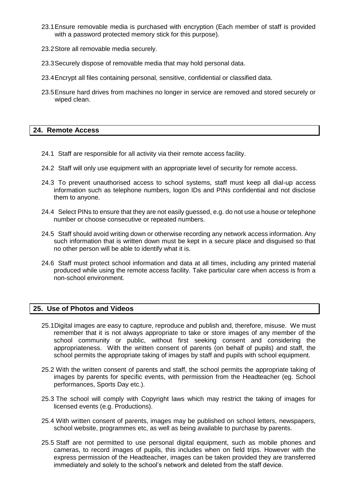- 23.1Ensure removable media is purchased with encryption (Each member of staff is provided with a password protected memory stick for this purpose).
- 23.2Store all removable media securely.
- 23.3Securely dispose of removable media that may hold personal data.
- 23.4Encrypt all files containing personal, sensitive, confidential or classified data.
- 23.5Ensure hard drives from machines no longer in service are removed and stored securely or wiped clean.

# **24. Remote Access**

- 24.1 Staff are responsible for all activity via their remote access facility.
- 24.2 Staff will only use equipment with an appropriate level of security for remote access.
- 24.3 To prevent unauthorised access to school systems, staff must keep all dial-up access information such as telephone numbers, logon IDs and PINs confidential and not disclose them to anyone.
- 24.4 Select PINs to ensure that they are not easily guessed, e.g. do not use a house or telephone number or choose consecutive or repeated numbers.
- 24.5 Staff should avoid writing down or otherwise recording any network access information. Any such information that is written down must be kept in a secure place and disguised so that no other person will be able to identify what it is.
- 24.6 Staff must protect school information and data at all times, including any printed material produced while using the remote access facility. Take particular care when access is from a non-school environment.

#### **25. Use of Photos and Videos**

- 25.1Digital images are easy to capture, reproduce and publish and, therefore, misuse. We must remember that it is not always appropriate to take or store images of any member of the school community or public, without first seeking consent and considering the appropriateness. With the written consent of parents (on behalf of pupils) and staff, the school permits the appropriate taking of images by staff and pupils with school equipment.
- 25.2 With the written consent of parents and staff, the school permits the appropriate taking of images by parents for specific events, with permission from the Headteacher (eg. School performances, Sports Day etc.).
- 25.3 The school will comply with Copyright laws which may restrict the taking of images for licensed events (e.g. Productions).
- 25.4 With written consent of parents, images may be published on school letters, newspapers, school website, programmes etc, as well as being available to purchase by parents.
- 25.5 Staff are not permitted to use personal digital equipment, such as mobile phones and cameras, to record images of pupils, this includes when on field trips. However with the express permission of the Headteacher, images can be taken provided they are transferred immediately and solely to the school's network and deleted from the staff device.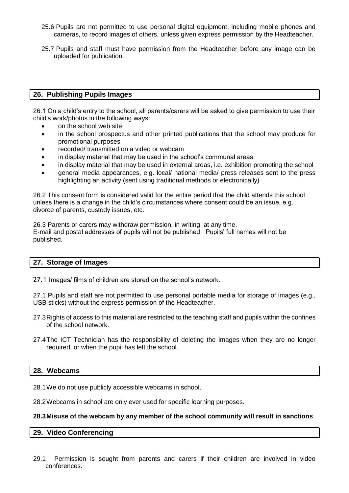- 25.6 Pupils are not permitted to use personal digital equipment, including mobile phones and cameras, to record images of others, unless given express permission by the Headteacher.
- 25.7 Pupils and staff must have permission from the Headteacher before any image can be uploaded for publication.

# **26. Publishing Pupils Images**

26.1 On a child's entry to the school, all parents/carers will be asked to give permission to use their child's work/photos in the following ways:

- on the school web site
- in the school prospectus and other printed publications that the school may produce for promotional purposes
- recorded/ transmitted on a video or webcam
- in display material that may be used in the school's communal areas
- in display material that may be used in external areas, i.e. exhibition promoting the school
- general media appearances, e.g. local/ national media/ press releases sent to the press highlighting an activity (sent using traditional methods or electronically)

26.2 This consent form is considered valid for the entire period that the child attends this school unless there is a change in the child's circumstances where consent could be an issue, e.g. divorce of parents, custody issues, etc.

26.3 Parents or carers may withdraw permission, in writing, at any time. E-mail and postal addresses of pupils will not be published. Pupils' full names will not be published.

# **27. Storage of Images**

27.1 Images/ films of children are stored on the school's network.

27.1 Pupils and staff are not permitted to use personal portable media for storage of images (e.g., USB sticks) without the express permission of the Headteacher.

- 27.3Rights of access to this material are restricted to the teaching staff and pupils within the confines of the school network.
- 27.4The ICT Technician has the responsibility of deleting the images when they are no longer required, or when the pupil has left the school.

#### **28. Webcams**

28.1We do not use publicly accessible webcams in school.

28.2Webcams in school are only ever used for specific learning purposes.

#### **28.3Misuse of the webcam by any member of the school community will result in sanctions**

#### **29. Video Conferencing**

29.1 Permission is sought from parents and carers if their children are involved in video conferences.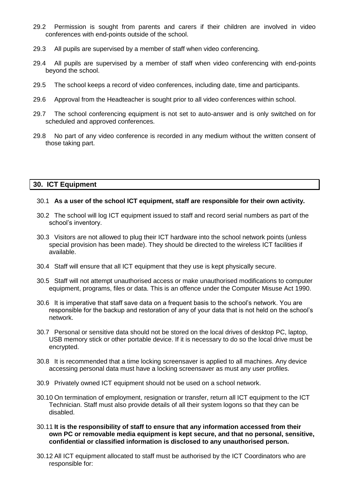- 29.2 Permission is sought from parents and carers if their children are involved in video conferences with end-points outside of the school.
- 29.3 All pupils are supervised by a member of staff when video conferencing.
- 29.4 All pupils are supervised by a member of staff when video conferencing with end-points beyond the school.
- 29.5 The school keeps a record of video conferences, including date, time and participants.
- 29.6 Approval from the Headteacher is sought prior to all video conferences within school.
- 29.7 The school conferencing equipment is not set to auto-answer and is only switched on for scheduled and approved conferences.
- 29.8 No part of any video conference is recorded in any medium without the written consent of those taking part.

# **30. ICT Equipment**

#### 30.1 **As a user of the school ICT equipment, staff are responsible for their own activity.**

- 30.2 The school will log ICT equipment issued to staff and record serial numbers as part of the school's inventory.
- 30.3 Visitors are not allowed to plug their ICT hardware into the school network points (unless special provision has been made). They should be directed to the wireless ICT facilities if available.
- 30.4 Staff will ensure that all ICT equipment that they use is kept physically secure.
- 30.5 Staff will not attempt unauthorised access or make unauthorised modifications to computer equipment, programs, files or data. This is an offence under the Computer Misuse Act 1990.
- 30.6 It is imperative that staff save data on a frequent basis to the school's network. You are responsible for the backup and restoration of any of your data that is not held on the school's network.
- 30.7 Personal or sensitive data should not be stored on the local drives of desktop PC, laptop, USB memory stick or other portable device. If it is necessary to do so the local drive must be encrypted.
- 30.8 It is recommended that a time locking screensaver is applied to all machines. Any device accessing personal data must have a locking screensaver as must any user profiles.
- 30.9 Privately owned ICT equipment should not be used on a school network.
- 30.10 On termination of employment, resignation or transfer, return all ICT equipment to the ICT Technician. Staff must also provide details of all their system logons so that they can be disabled.
- 30.11 **It is the responsibility of staff to ensure that any information accessed from their own PC or removable media equipment is kept secure, and that no personal, sensitive, confidential or classified information is disclosed to any unauthorised person.**
- 30.12 All ICT equipment allocated to staff must be authorised by the ICT Coordinators who are responsible for: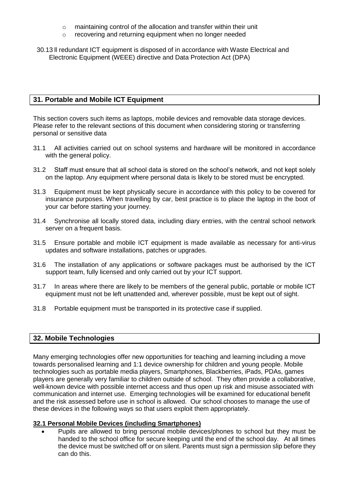- o maintaining control of the allocation and transfer within their unit
- o recovering and returning equipment when no longer needed
- 30.13 ll redundant ICT equipment is disposed of in accordance with Waste Electrical and Electronic Equipment (WEEE) directive and Data Protection Act (DPA)

#### **31. Portable and Mobile ICT Equipment**

This section covers such items as laptops, mobile devices and removable data storage devices. Please refer to the relevant sections of this document when considering storing or transferring personal or sensitive data

- 31.1 All activities carried out on school systems and hardware will be monitored in accordance with the general policy.
- 31.2 Staff must ensure that all school data is stored on the school's network, and not kept solely on the laptop. Any equipment where personal data is likely to be stored must be encrypted.
- 31.3 Equipment must be kept physically secure in accordance with this policy to be covered for insurance purposes. When travelling by car, best practice is to place the laptop in the boot of your car before starting your journey.
- 31.4 Synchronise all locally stored data, including diary entries, with the central school network server on a frequent basis.
- 31.5 Ensure portable and mobile ICT equipment is made available as necessary for anti-virus updates and software installations, patches or upgrades.
- 31.6 The installation of any applications or software packages must be authorised by the ICT support team, fully licensed and only carried out by your ICT support.
- 31.7 In areas where there are likely to be members of the general public, portable or mobile ICT equipment must not be left unattended and, wherever possible, must be kept out of sight.
- 31.8 Portable equipment must be transported in its protective case if supplied.

# **32. Mobile Technologies**

Many emerging technologies offer new opportunities for teaching and learning including a move towards personalised learning and 1:1 device ownership for children and young people. Mobile technologies such as portable media players, Smartphones, Blackberries, iPads, PDAs, games players are generally very familiar to children outside of school. They often provide a collaborative, well-known device with possible internet access and thus open up risk and misuse associated with communication and internet use. Emerging technologies will be examined for educational benefit and the risk assessed before use in school is allowed. Our school chooses to manage the use of these devices in the following ways so that users exploit them appropriately.

#### **32.1 Personal Mobile Devices (including Smartphones)**

• Pupils are allowed to bring personal mobile devices/phones to school but they must be handed to the school office for secure keeping until the end of the school day. At all times the device must be switched off or on silent. Parents must sign a permission slip before they can do this.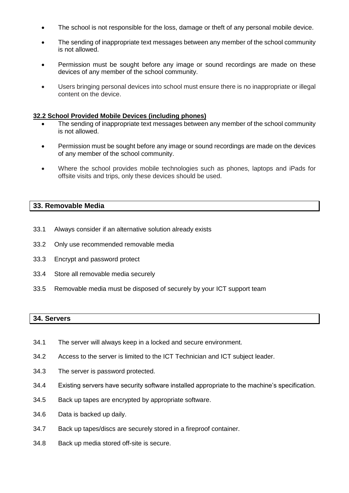- The school is not responsible for the loss, damage or theft of any personal mobile device.
- The sending of inappropriate text messages between any member of the school community is not allowed.
- Permission must be sought before any image or sound recordings are made on these devices of any member of the school community.
- Users bringing personal devices into school must ensure there is no inappropriate or illegal content on the device.

#### **32.2 School Provided Mobile Devices (including phones)**

- The sending of inappropriate text messages between any member of the school community is not allowed.
- Permission must be sought before any image or sound recordings are made on the devices of any member of the school community.
- Where the school provides mobile technologies such as phones, laptops and iPads for offsite visits and trips, only these devices should be used.

# **33. Removable Media**

- 33.1 Always consider if an alternative solution already exists
- 33.2 Only use recommended removable media
- 33.3 Encrypt and password protect
- 33.4 Store all removable media securely
- 33.5 Removable media must be disposed of securely by your ICT support team

#### **34. Servers**

- 34.1 The server will always keep in a locked and secure environment.
- 34.2 Access to the server is limited to the ICT Technician and ICT subject leader.
- 34.3 The server is password protected.
- 34.4 Existing servers have security software installed appropriate to the machine's specification.
- 34.5 Back up tapes are encrypted by appropriate software.
- 34.6 Data is backed up daily.
- 34.7 Back up tapes/discs are securely stored in a fireproof container.
- 34.8 Back up media stored off-site is secure.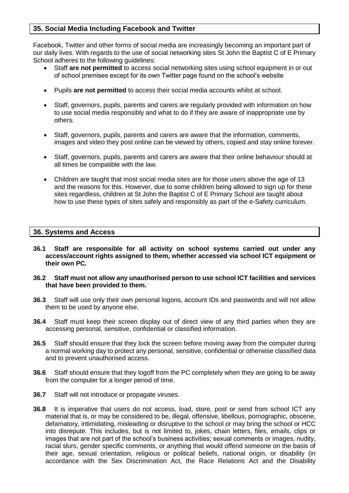# **35. Social Media Including Facebook and Twitter**

Facebook, Twitter and other forms of social media are increasingly becoming an important part of our daily lives. With regards to the use of social networking sites St John the Baptist C of E Primary School adheres to the following guidelines:

- Staff **are not permitted** to access social networking sites using school equipment in or out of school premises except for its own Twitter page found on the school's website
- Pupils **are not permitted** to access their social media accounts whilst at school.
- Staff, governors, pupils, parents and carers are regularly provided with information on how to use social media responsibly and what to do if they are aware of inappropriate use by others.
- Staff, governors, pupils, parents and carers are aware that the information, comments, images and video they post online can be viewed by others, copied and stay online forever.
- Staff, governors, pupils, parents and carers are aware that their online behaviour should at all times be compatible with the law.
- Children are taught that most social media sites are for those users above the age of 13 and the reasons for this. However, due to some children being allowed to sign up for these sites regardless, children at St John the Baptist C of E Primary School are taught about how to use these types of sites safely and responsibly as part of the e-Safety curriculum.

#### **36. Systems and Access**

**36.1 Staff are responsible for all activity on school systems carried out under any access/account rights assigned to them, whether accessed via school ICT equipment or their own PC.**

#### **36.2 Staff must not allow any unauthorised person to use school ICT facilities and services that have been provided to them.**

- **36.3** Staff will use only their own personal logons, account IDs and passwords and will not allow them to be used by anyone else.
- **36.4** Staff must keep their screen display out of direct view of any third parties when they are accessing personal, sensitive, confidential or classified information.
- **36.5** Staff should ensure that they lock the screen before moving away from the computer during a normal working day to protect any personal, sensitive, confidential or otherwise classified data and to prevent unauthorised access.
- **36.6** Staff should ensure that they logoff from the PC completely when they are going to be away from the computer for a longer period of time.
- **36.7** Staff will not introduce or propagate viruses.
- **36.8** It is imperative that users do not access, load, store, post or send from school ICT any material that is, or may be considered to be, illegal, offensive, libellous, pornographic, obscene, defamatory, intimidating, misleading or disruptive to the school or may bring the school or HCC into disrepute. This includes, but is not limited to, jokes, chain letters, files, emails, clips or images that are not part of the school's business activities; sexual comments or images, nudity, racial slurs, gender specific comments, or anything that would offend someone on the basis of their age, sexual orientation, religious or political beliefs, national origin, or disability (in accordance with the Sex Discrimination Act, the Race Relations Act and the Disability